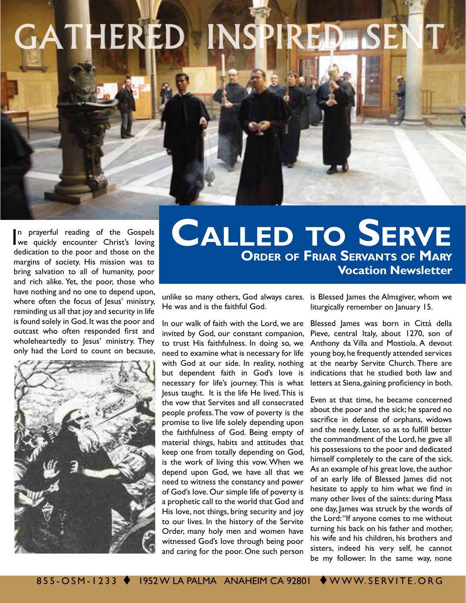## GATHERED INSPIRED SEN

In prayerful reading of the Gospels<br>we quickly encounter Christ's loving n prayerful reading of the Gospels dedication to the poor and those on the margins of society. His mission was to bring salvation to all of humanity, poor and rich alike. Yet, the poor, those who have nothing and no one to depend upon, where often the focus of Jesus' ministry, reminding us all that joy and security in life is found solely in God. It was the poor and outcast who often responded first and wholeheartedly to Jesus' ministry. They only had the Lord to count on because,



## **Order of Friar Servants of Mary Vocation Newsletter Called to Serve**

He was and is the faithful God.

In our walk of faith with the Lord, we are invited by God, our constant companion, to trust His faithfulness. In doing so, we need to examine what is necessary for life with God at our side. In reality, nothing but dependent faith in God's love is necessary for life's journey. This is what Jesus taught. It is the life He lived. This is the vow that Servites and all consecrated people profess. The vow of poverty is the promise to live life solely depending upon the faithfulness of God. Being empty of material things, habits and attitudes that keep one from totally depending on God, is the work of living this vow. When we depend upon God, we have all that we need to witness the constancy and power of God's love. Our simple life of poverty is a prophetic call to the world that God and His love, not things, bring security and joy to our lives. In the history of the Servite Order, many holy men and women have witnessed God's love through being poor and caring for the poor. One such person

unlike so many others, God always cares. is Blessed James the Almsgiver, whom we liturgically remember on January 15.

> Blessed James was born in Città della Pieve, central Italy, about 1270, son of Anthony da Villa and Mostiola. A devout young boy, he frequently attended services at the nearby Servite Church. There are indications that he studied both law and letters at Siena, gaining proficiency in both.

> Even at that time, he became concerned about the poor and the sick; he spared no sacrifice in defense of orphans, widows and the needy. Later, so as to fulfill better the commandment of the Lord, he gave all his possessions to the poor and dedicated himself completely to the care of the sick. As an example of his great love, the author of an early life of Blessed James did not hesitate to apply to him what we find in many other lives of the saints: during Mass one day, James was struck by the words of the Lord: "If anyone comes to me without turning his back on his father and mother, his wife and his children, his brothers and sisters, indeed his very self, he cannot be my follower. In the same way, none